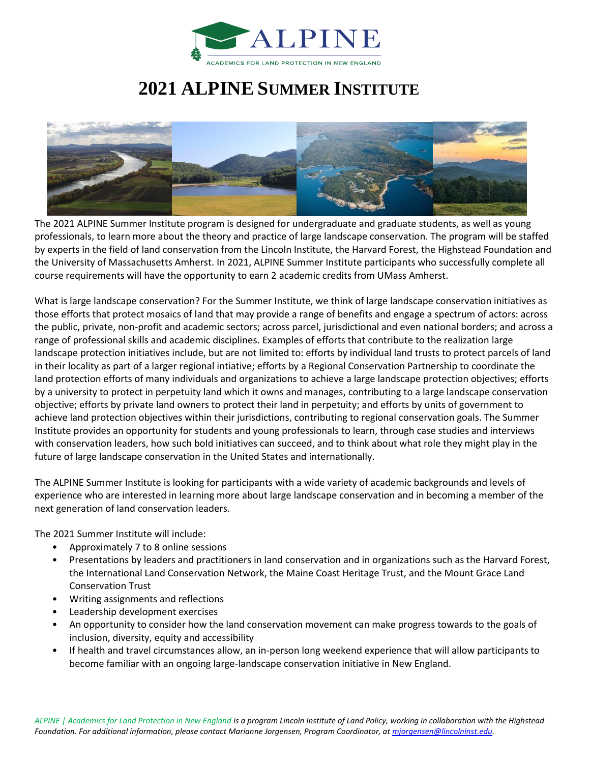

## **2021 ALPINE SUMMER INSTITUTE**



The 2021 ALPINE Summer Institute program is designed for undergraduate and graduate students, as well as young professionals, to learn more about the theory and practice of large landscape conservation. The program will be staffed by experts in the field of land conservation from the Lincoln Institute, the Harvard Forest, the Highstead Foundation and the University of Massachusetts Amherst. In 2021, ALPINE Summer Institute participants who successfully complete all course requirements will have the opportunity to earn 2 academic credits from UMass Amherst.

What is large landscape conservation? For the Summer Institute, we think of large landscape conservation initiatives as those efforts that protect mosaics of land that may provide a range of benefits and engage a spectrum of actors: across the public, private, non-profit and academic sectors; across parcel, jurisdictional and even national borders; and across a range of professional skills and academic disciplines. Examples of efforts that contribute to the realization large landscape protection initiatives include, but are not limited to: efforts by individual land trusts to protect parcels of land in their locality as part of a larger regional intiative; efforts by a Regional Conservation Partnership to coordinate the land protection efforts of many individuals and organizations to achieve a large landscape protection objectives; efforts by a university to protect in perpetuity land which it owns and manages, contributing to a large landscape conservation objective; efforts by private land owners to protect their land in perpetuity; and efforts by units of government to achieve land protection objectives within their jurisdictions, contributing to regional conservation goals. The Summer Institute provides an opportunity for students and young professionals to learn, through case studies and interviews with conservation leaders, how such bold initiatives can succeed, and to think about what role they might play in the future of large landscape conservation in the United States and internationally.

The ALPINE Summer Institute is looking for participants with a wide variety of academic backgrounds and levels of experience who are interested in learning more about large landscape conservation and in becoming a member of the next generation of land conservation leaders.

The 2021 Summer Institute will include:

- Approximately 7 to 8 online sessions
- Presentations by leaders and practitioners in land conservation and in organizations such as the Harvard Forest, the International Land Conservation Network, the Maine Coast Heritage Trust, and the Mount Grace Land Conservation Trust
- Writing assignments and reflections
- Leadership development exercises
- An opportunity to consider how the land conservation movement can make progress towards to the goals of inclusion, diversity, equity and accessibility
- If health and travel circumstances allow, an in-person long weekend experience that will allow participants to become familiar with an ongoing large-landscape conservation initiative in New England.